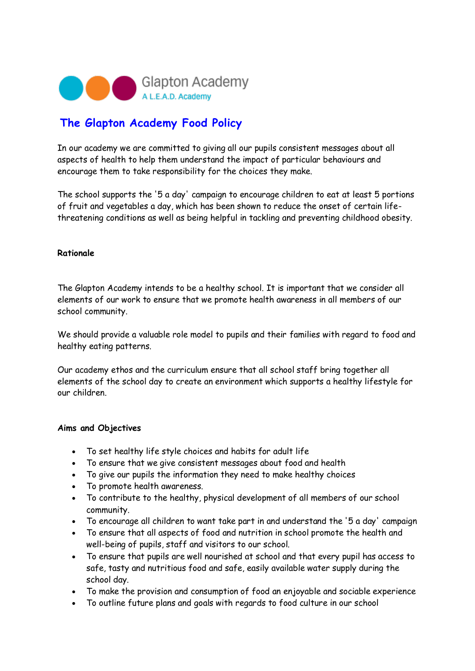

# **The Glapton Academy Food Policy**

In our academy we are committed to giving all our pupils consistent messages about all aspects of health to help them understand the impact of particular behaviours and encourage them to take responsibility for the choices they make.

The school supports the '5 a day' campaign to encourage children to eat at least 5 portions of fruit and vegetables a day, which has been shown to reduce the onset of certain lifethreatening conditions as well as being helpful in tackling and preventing childhood obesity.

## **Rationale**

The Glapton Academy intends to be a healthy school. It is important that we consider all elements of our work to ensure that we promote health awareness in all members of our school community.

We should provide a valuable role model to pupils and their families with regard to food and healthy eating patterns.

Our academy ethos and the curriculum ensure that all school staff bring together all elements of the school day to create an environment which supports a healthy lifestyle for our children.

#### **Aims and Objectives**

- To set healthy life style choices and habits for adult life
- To ensure that we give consistent messages about food and health
- To give our pupils the information they need to make healthy choices
- To promote health awareness.
- To contribute to the healthy, physical development of all members of our school community.
- To encourage all children to want take part in and understand the '5 a day' campaign
- To ensure that all aspects of food and nutrition in school promote the health and well-being of pupils, staff and visitors to our school.
- To ensure that pupils are well nourished at school and that every pupil has access to safe, tasty and nutritious food and safe, easily available water supply during the school day.
- To make the provision and consumption of food an enjoyable and sociable experience
- To outline future plans and goals with regards to food culture in our school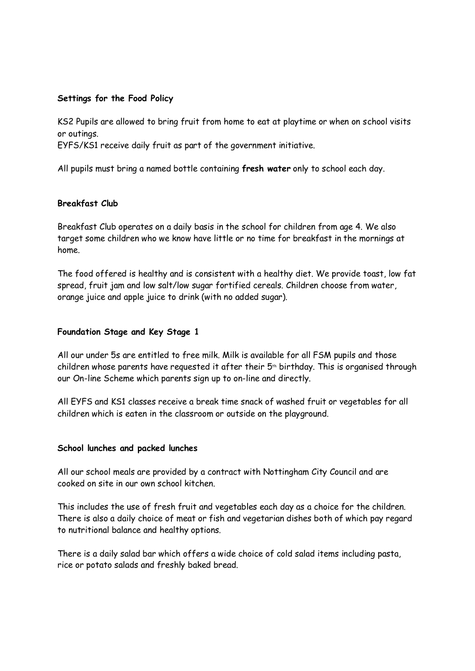## **Settings for the Food Policy**

KS2 Pupils are allowed to bring fruit from home to eat at playtime or when on school visits or outings.

EYFS/KS1 receive daily fruit as part of the government initiative.

All pupils must bring a named bottle containing **fresh water** only to school each day.

## **Breakfast Club**

Breakfast Club operates on a daily basis in the school for children from age 4. We also target some children who we know have little or no time for breakfast in the mornings at home.

The food offered is healthy and is consistent with a healthy diet. We provide toast, low fat spread, fruit jam and low salt/low sugar fortified cereals. Children choose from water, orange juice and apple juice to drink (with no added sugar).

#### **Foundation Stage and Key Stage 1**

All our under 5s are entitled to free milk. Milk is available for all FSM pupils and those children whose parents have requested it after their 5<sup>th</sup> birthday. This is organised through our On-line Scheme which parents sign up to on-line and directly.

All EYFS and KS1 classes receive a break time snack of washed fruit or vegetables for all children which is eaten in the classroom or outside on the playground.

#### **School lunches and packed lunches**

All our school meals are provided by a contract with Nottingham City Council and are cooked on site in our own school kitchen.

This includes the use of fresh fruit and vegetables each day as a choice for the children. There is also a daily choice of meat or fish and vegetarian dishes both of which pay regard to nutritional balance and healthy options.

There is a daily salad bar which offers a wide choice of cold salad items including pasta, rice or potato salads and freshly baked bread.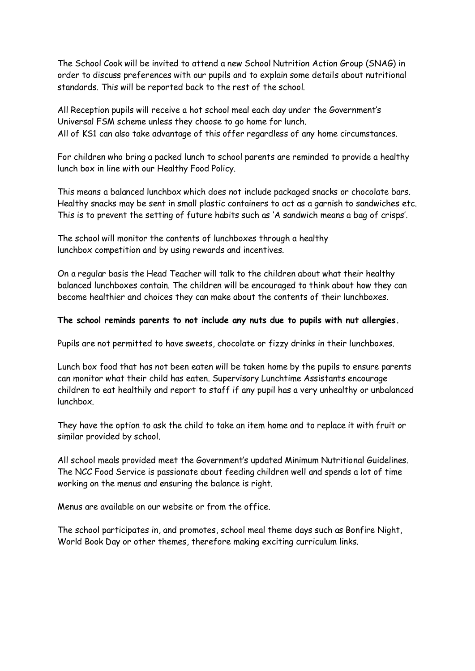The School Cook will be invited to attend a new School Nutrition Action Group (SNAG) in order to discuss preferences with our pupils and to explain some details about nutritional standards. This will be reported back to the rest of the school.

All Reception pupils will receive a hot school meal each day under the Government's Universal FSM scheme unless they choose to go home for lunch. All of KS1 can also take advantage of this offer regardless of any home circumstances.

For children who bring a packed lunch to school parents are reminded to provide a healthy lunch box in line with our Healthy Food Policy.

This means a balanced lunchbox which does not include packaged snacks or chocolate bars. Healthy snacks may be sent in small plastic containers to act as a garnish to sandwiches etc. This is to prevent the setting of future habits such as 'A sandwich means a bag of crisps'.

The school will monitor the contents of lunchboxes through a healthy lunchbox competition and by using rewards and incentives.

On a regular basis the Head Teacher will talk to the children about what their healthy balanced lunchboxes contain. The children will be encouraged to think about how they can become healthier and choices they can make about the contents of their lunchboxes.

#### **The school reminds parents to not include any nuts due to pupils with nut allergies.**

Pupils are not permitted to have sweets, chocolate or fizzy drinks in their lunchboxes.

Lunch box food that has not been eaten will be taken home by the pupils to ensure parents can monitor what their child has eaten. Supervisory Lunchtime Assistants encourage children to eat healthily and report to staff if any pupil has a very unhealthy or unbalanced lunchbox.

They have the option to ask the child to take an item home and to replace it with fruit or similar provided by school.

All school meals provided meet the Government's updated Minimum Nutritional Guidelines. The NCC Food Service is passionate about feeding children well and spends a lot of time working on the menus and ensuring the balance is right.

Menus are available on our website or from the office.

The school participates in, and promotes, school meal theme days such as Bonfire Night, World Book Day or other themes, therefore making exciting curriculum links.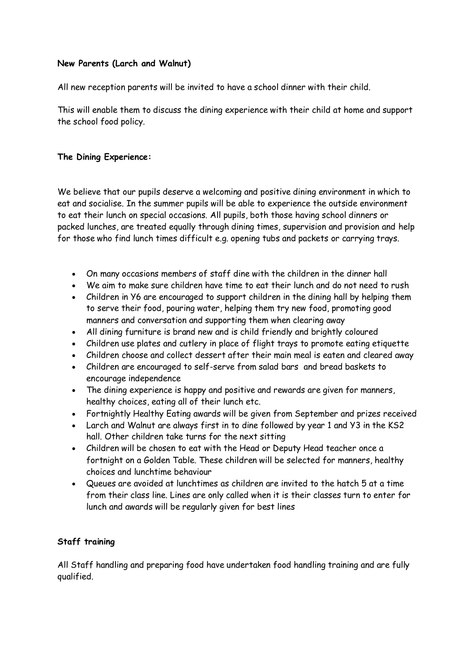# **New Parents (Larch and Walnut)**

All new reception parents will be invited to have a school dinner with their child.

This will enable them to discuss the dining experience with their child at home and support the school food policy.

## **The Dining Experience:**

We believe that our pupils deserve a welcoming and positive dining environment in which to eat and socialise. In the summer pupils will be able to experience the outside environment to eat their lunch on special occasions. All pupils, both those having school dinners or packed lunches, are treated equally through dining times, supervision and provision and help for those who find lunch times difficult e.g. opening tubs and packets or carrying trays.

- On many occasions members of staff dine with the children in the dinner hall
- We aim to make sure children have time to eat their lunch and do not need to rush
- Children in Y6 are encouraged to support children in the dining hall by helping them to serve their food, pouring water, helping them try new food, promoting good manners and conversation and supporting them when clearing away
- All dining furniture is brand new and is child friendly and brightly coloured
- Children use plates and cutlery in place of flight trays to promote eating etiquette
- Children choose and collect dessert after their main meal is eaten and cleared away
- Children are encouraged to self-serve from salad bars and bread baskets to encourage independence
- The dining experience is happy and positive and rewards are given for manners, healthy choices, eating all of their lunch etc.
- Fortnightly Healthy Eating awards will be given from September and prizes received
- Larch and Walnut are always first in to dine followed by year 1 and Y3 in the KS2 hall. Other children take turns for the next sitting
- Children will be chosen to eat with the Head or Deputy Head teacher once a fortnight on a Golden Table. These children will be selected for manners, healthy choices and lunchtime behaviour
- Queues are avoided at lunchtimes as children are invited to the hatch 5 at a time from their class line. Lines are only called when it is their classes turn to enter for lunch and awards will be regularly given for best lines

# **Staff training**

All Staff handling and preparing food have undertaken food handling training and are fully qualified.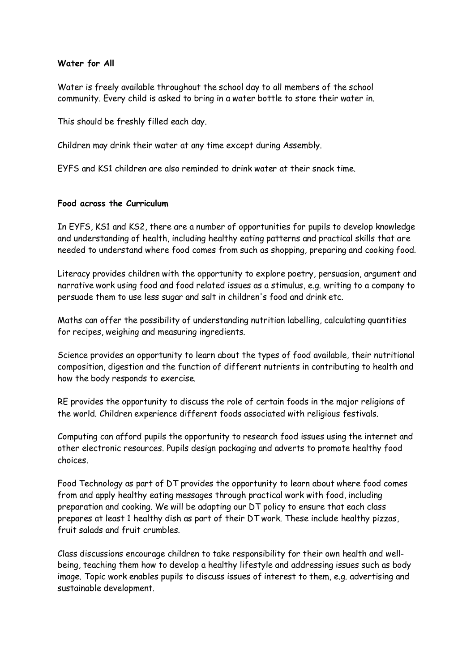## **Water for All**

Water is freely available throughout the school day to all members of the school community. Every child is asked to bring in a water bottle to store their water in.

This should be freshly filled each day.

Children may drink their water at any time except during Assembly.

EYFS and KS1 children are also reminded to drink water at their snack time.

## **Food across the Curriculum**

In EYFS, KS1 and KS2, there are a number of opportunities for pupils to develop knowledge and understanding of health, including healthy eating patterns and practical skills that are needed to understand where food comes from such as shopping, preparing and cooking food.

Literacy provides children with the opportunity to explore poetry, persuasion, argument and narrative work using food and food related issues as a stimulus, e.g. writing to a company to persuade them to use less sugar and salt in children's food and drink etc.

Maths can offer the possibility of understanding nutrition labelling, calculating quantities for recipes, weighing and measuring ingredients.

Science provides an opportunity to learn about the types of food available, their nutritional composition, digestion and the function of different nutrients in contributing to health and how the body responds to exercise.

RE provides the opportunity to discuss the role of certain foods in the major religions of the world. Children experience different foods associated with religious festivals.

Computing can afford pupils the opportunity to research food issues using the internet and other electronic resources. Pupils design packaging and adverts to promote healthy food choices.

Food Technology as part of DT provides the opportunity to learn about where food comes from and apply healthy eating messages through practical work with food, including preparation and cooking. We will be adapting our DT policy to ensure that each class prepares at least 1 healthy dish as part of their DT work. These include healthy pizzas, fruit salads and fruit crumbles.

Class discussions encourage children to take responsibility for their own health and wellbeing, teaching them how to develop a healthy lifestyle and addressing issues such as body image. Topic work enables pupils to discuss issues of interest to them, e.g. advertising and sustainable development.